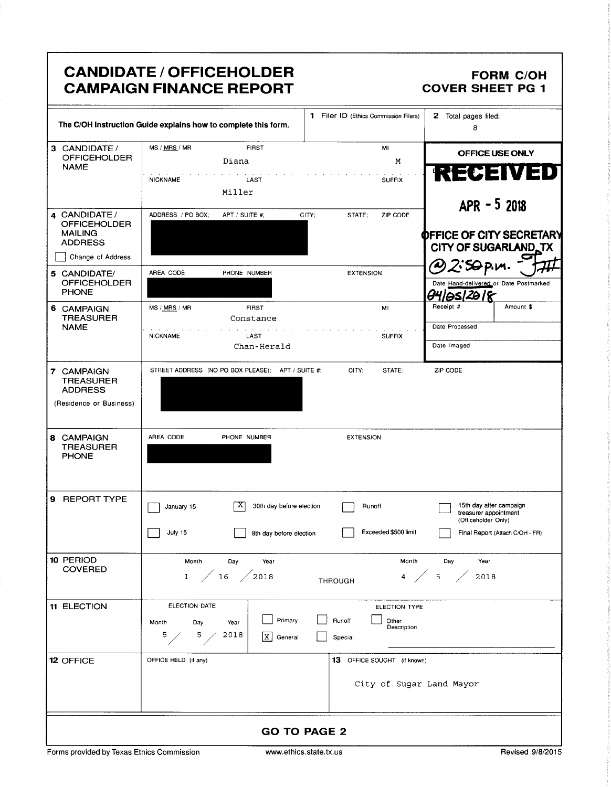|                                                                                               | <b>CANDIDATE / OFFICEHOLDER</b><br><b>CAMPAIGN FINANCE REPORT</b>                            |                                                            | <b>FORM C/OH</b><br><b>COVER SHEET PG 1</b>                                                                |
|-----------------------------------------------------------------------------------------------|----------------------------------------------------------------------------------------------|------------------------------------------------------------|------------------------------------------------------------------------------------------------------------|
|                                                                                               | The C/OH Instruction Guide explains how to complete this form.                               | 1 Filer ID (Ethics Commission Filers)                      | 2 Total pages filed:<br>8                                                                                  |
| 3 CANDIDATE/<br><b>OFFICEHOLDER</b><br><b>NAME</b>                                            | MS / MRS / MR<br><b>FIRST</b><br>Diana<br><b>NICKNAME</b><br>LAST<br>Miller                  | MI<br>М<br><b>SUFFIX</b>                                   | OFFICE USE ONLY<br><b>RECEIVED</b><br>$APR - 52018$                                                        |
| 4 CANDIDATE /<br><b>OFFICEHOLDER</b><br><b>MAILING</b><br><b>ADDRESS</b><br>Change of Address | ADDRESS / PO BOX;<br>APT / SUITE #;                                                          | CITY;<br>ZIP CODE<br>STATE;                                | OFFICE OF CITY SECRETARY<br>CITY OF SUGARLAND TX                                                           |
| 5 CANDIDATE/<br><b>OFFICEHOLDER</b><br><b>PHONE</b>                                           | AREA CODE<br>PHONE NUMBER                                                                    | <b>EXTENSION</b>                                           | Date Hand-delivered or Date Postmarked                                                                     |
| 6 CAMPAIGN<br><b>TREASURER</b><br><b>NAME</b>                                                 | MS / MRS / MR<br><b>FIRST</b><br>Constance<br><b>NICKNAME</b><br>LAST<br>Chan-Herald         | MI<br><b>SUFFIX</b>                                        | Receipt #<br>Amount \$<br>Date Processed<br>Date Imaged                                                    |
| 7 CAMPAIGN<br><b>TREASURER</b><br><b>ADDRESS</b><br>(Residence or Business)                   | STREET ADDRESS (NO PO BOX PLEASE); APT / SUITE #;                                            | CITY;<br>STATE;                                            | ZIP CODE                                                                                                   |
| 8 CAMPAIGN<br><b>TREASURER</b><br><b>PHONE</b>                                                | AREA CODE<br>PHONE NUMBER                                                                    | <b>EXTENSION</b>                                           |                                                                                                            |
| 9 REPORT TYPE                                                                                 | $\mathbf{x}$<br>30th day before election<br>January 15<br>July 15<br>8th day before election | Runoff<br>Exceeded \$500 limit                             | 15th day after campaign<br>treasurer appointment<br>(Officeholder Only)<br>Final Report (Attach C/OH - FR) |
| 10 PERIOD<br><b>COVERED</b>                                                                   | Month<br>Day<br>Year<br>$\frac{16}{2018}$<br>$\mathbf{1}$                                    | Month<br>$4 \ \ 65$<br><b>THROUGH</b>                      | Day<br>Year<br>2018                                                                                        |
| 11 ELECTION                                                                                   | ELECTION DATE<br>Primary<br>Month<br>Day<br>Year<br>2018<br>5.<br>5.<br>X<br>General         | ELECTION TYPE<br>Runoff<br>Other<br>Description<br>Special |                                                                                                            |
| <b>12 OFFICE</b>                                                                              | OFFICE HELD (if any)                                                                         | 13 OFFICE SOUGHT (if known)<br>City of Sugar Land Mayor    |                                                                                                            |
|                                                                                               |                                                                                              | <b>GO TO PAGE 2</b>                                        |                                                                                                            |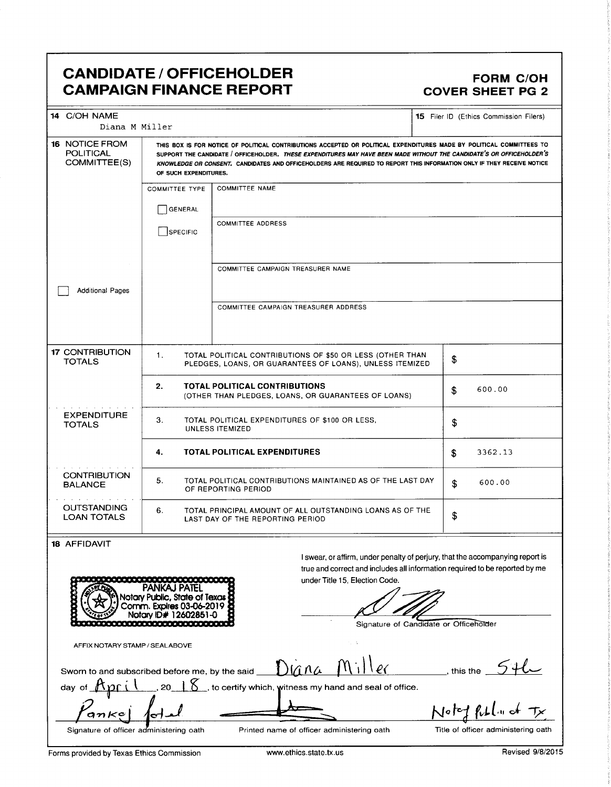### CANDIDATE / OFFICEHOLDER FORM C/OH CAMPAIGN FINANCE REPORT COVER SHEET PG 2

| 14 C/OH NAME<br>Diana M Miller                            |                       |                                                                                                                                                                                                                                                                                                                                                                         |                    | <b>15</b> Filer ID (Ethics Commission Filers) |
|-----------------------------------------------------------|-----------------------|-------------------------------------------------------------------------------------------------------------------------------------------------------------------------------------------------------------------------------------------------------------------------------------------------------------------------------------------------------------------------|--------------------|-----------------------------------------------|
| <b>16 NOTICE FROM</b><br><b>POLITICAL</b><br>COMMITTEE(S) | OF SUCH EXPENDITURES. | THIS BOX IS FOR NOTICE OF POLITICAL CONTRIBUTIONS ACCEPTED OR POLITICAL EXPENDITURES MADE BY POLITICAL COMMITTEES TO<br>SUPPORT THE CANDIDATE / OFFICEHOLDER. THESE EXPENDITURES MAY HAVE BEEN MADE WITHOUT THE CANDIDATE'S OR OFFICEHOLDER'S<br>KNOWLEDGE OR CONSENT. CANDIDATES AND OFFICEHOLDERS ARE REQUIRED TO REPORT THIS INFORMATION ONLY IF THEY RECEIVE NOTICE |                    |                                               |
|                                                           | <b>COMMITTEE TYPE</b> | <b>COMMITTEE NAME</b>                                                                                                                                                                                                                                                                                                                                                   |                    |                                               |
|                                                           | GENERAL               |                                                                                                                                                                                                                                                                                                                                                                         |                    |                                               |
|                                                           | SPECIFIC              | <b>COMMITTEE ADDRESS</b>                                                                                                                                                                                                                                                                                                                                                |                    |                                               |
|                                                           |                       |                                                                                                                                                                                                                                                                                                                                                                         |                    |                                               |
|                                                           |                       | COMMITTEE CAMPAIGN TREASURER NAME                                                                                                                                                                                                                                                                                                                                       |                    |                                               |
| <b>Additional Pages</b>                                   |                       |                                                                                                                                                                                                                                                                                                                                                                         |                    |                                               |
|                                                           |                       | COMMITTEE CAMPAIGN TREASURER ADDRESS                                                                                                                                                                                                                                                                                                                                    |                    |                                               |
|                                                           |                       |                                                                                                                                                                                                                                                                                                                                                                         |                    |                                               |
| <b>17 CONTRIBUTION</b><br><b>TOTALS</b>                   | 1.                    | TOTAL POLITICAL CONTRIBUTIONS OF \$50 OR LESS (OTHER THAN<br>PLEDGES, LOANS, OR GUARANTEES OF LOANS), UNLESS ITEMIZED                                                                                                                                                                                                                                                   | \$                 |                                               |
|                                                           | 2.                    | <b>TOTAL POLITICAL CONTRIBUTIONS</b><br>(OTHER THAN PLEDGES, LOANS, OR GUARANTEES OF LOANS)                                                                                                                                                                                                                                                                             | \$                 | 600.00                                        |
| <b>EXPENDITURE</b><br><b>TOTALS</b>                       | 3.                    | TOTAL POLITICAL EXPENDITURES OF \$100 OR LESS.<br><b>UNLESS ITEMIZED</b>                                                                                                                                                                                                                                                                                                | \$                 |                                               |
|                                                           | 4.                    | <b>TOTAL POLITICAL EXPENDITURES</b>                                                                                                                                                                                                                                                                                                                                     | \$                 | 3362.13                                       |
| <b>CONTRIBUTION</b><br><b>BALANCE</b>                     | 5.                    | TOTAL POLITICAL CONTRIBUTIONS MAINTAINED AS OF THE LAST DAY<br>OF REPORTING PERIOD                                                                                                                                                                                                                                                                                      | $\mathbf{\hat{z}}$ | 600.00                                        |
| <b>OUTSTANDING</b><br><b>LOAN TOTALS</b>                  | 6.                    | TOTAL PRINCIPAL AMOUNT OF ALL OUTSTANDING LOANS AS OF THE<br>LAST DAY OF THE REPORTING PERIOD                                                                                                                                                                                                                                                                           | \$                 |                                               |
| 18 AFFIDAVIT                                              |                       |                                                                                                                                                                                                                                                                                                                                                                         |                    |                                               |
|                                                           |                       | I swear, or affirm, under penalty of perjury, that the accompanying report is<br>true and correct and includes all information required to be reported by me                                                                                                                                                                                                            |                    |                                               |



true and correct and includes all information required to be reported by me under Title 15, Election Code.

Signature of Candidate or Officeholder

AFFIX NOTARY STAMP/ SEALABOVE

Sworn to and subscribed before me, by the said  $D(\hat{\mu} \wedge \hat{\mu} \wedge \hat{\mu}) \vee \hat{\ell}$ , this the

day of  $\mathcal{H}_{\mathcal{D}}$   $\Gamma$  i  $\Gamma$  20  $\Gamma$  K  $\gamma$  to certify which, witness my hand and seal of office.

 $an$  $K$ e Ö

Signature of officer administering oath Printed name of officer administering oath Title of officer administering oath

Noted full in at

Forms provided by Texas Ethics Commission www.ethics.state.tx.us Revised 9/8/2015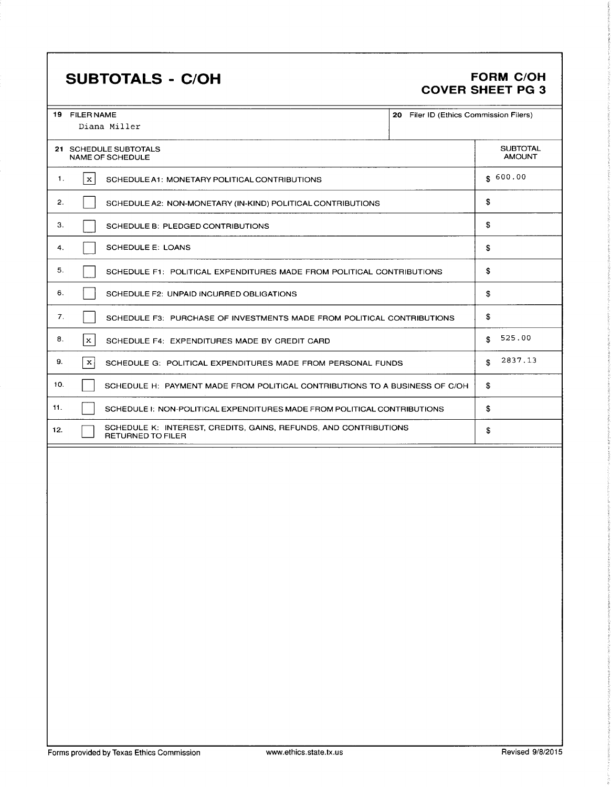## SUBTOTALS - C/OH FORM C/OH

# COVER SHEET PG 3

| <b>19 FILER NAME</b> | Diana Miller                                                                          | 20 Filer ID (Ethics Commission Filers) |                                  |
|----------------------|---------------------------------------------------------------------------------------|----------------------------------------|----------------------------------|
|                      | 21 SCHEDULE SUBTOTALS<br>NAME OF SCHEDULE                                             |                                        | <b>SUBTOTAL</b><br><b>AMOUNT</b> |
| $\mathbf{x}$<br>1.   | SCHEDULE A1: MONETARY POLITICAL CONTRIBUTIONS                                         |                                        | \$600.00                         |
| 2.                   | SCHEDULE A2: NON-MONETARY (IN-KIND) POLITICAL CONTRIBUTIONS                           |                                        | \$                               |
| З.                   | SCHEDULE B: PLEDGED CONTRIBUTIONS                                                     |                                        | \$                               |
| 4.                   | <b>SCHEDULE E: LOANS</b>                                                              |                                        | S.                               |
| 5.                   | SCHEDULE F1: POLITICAL EXPENDITURES MADE FROM POLITICAL CONTRIBUTIONS                 |                                        | \$                               |
| 6.                   | SCHEDULE F2: UNPAID INCURRED OBLIGATIONS                                              |                                        | \$                               |
| 7.                   | SCHEDULE F3: PURCHASE OF INVESTMENTS MADE FROM POLITICAL CONTRIBUTIONS                |                                        | \$                               |
| 8.<br>$\mathbf{x}$   | SCHEDULE F4: EXPENDITURES MADE BY CREDIT CARD                                         |                                        | 525.00<br>\$                     |
| 9.<br>x              | SCHEDULE G: POLITICAL EXPENDITURES MADE FROM PERSONAL FUNDS                           |                                        | 2837.13<br>S.                    |
| 10.                  | SCHEDULE H: PAYMENT MADE FROM POLITICAL CONTRIBUTIONS TO A BUSINESS OF C/OH           |                                        | \$                               |
| 11.                  | SCHEDULE I: NON-POLITICAL EXPENDITURES MADE FROM POLITICAL CONTRIBUTIONS              |                                        | \$                               |
| 12.                  | SCHEDULE K: INTEREST, CREDITS, GAINS, REFUNDS, AND CONTRIBUTIONS<br>RETURNED TO FILER |                                        | \$                               |
|                      |                                                                                       |                                        |                                  |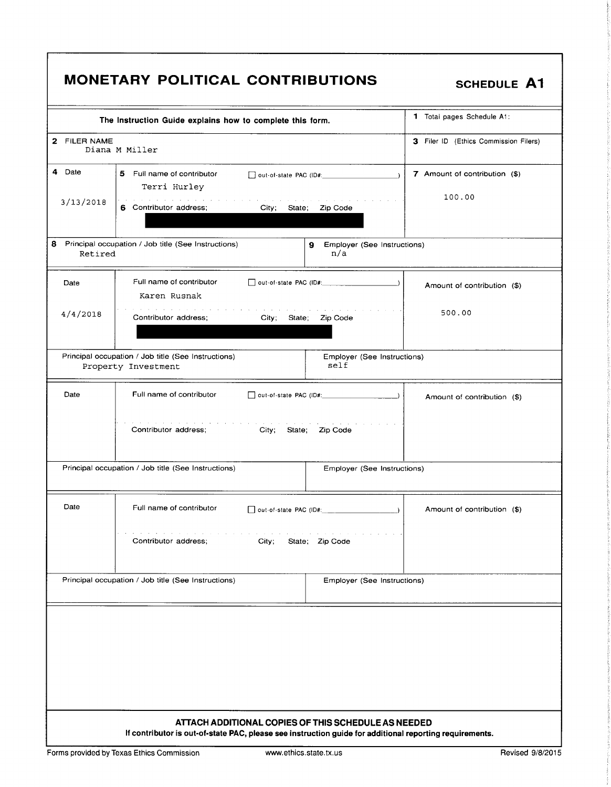|              | <b>MONETARY POLITICAL CONTRIBUTIONS</b>                                                                                                                             | <b>SCHEDULE A1</b>                    |
|--------------|---------------------------------------------------------------------------------------------------------------------------------------------------------------------|---------------------------------------|
|              | The Instruction Guide explains how to complete this form.                                                                                                           | 1 Total pages Schedule A1:            |
| 2 FILER NAME | Diana M Miller                                                                                                                                                      | 3 Filer ID (Ethics Commission Filers) |
| 4 Date       | 5 Full name of contributor<br>Terri Hurley                                                                                                                          | 7 Amount of contribution (\$)         |
| 3/13/2018    | a construction of the construction of the construction of the<br>6 Contributor address;<br>City; State; Zip Code                                                    | 100.00                                |
| Retired      | 8 Principal occupation / Job title (See Instructions)<br>9 Employer (See Instructions)<br>n/a                                                                       |                                       |
| Date         | Full name of contributor<br>Karen Rusnak                                                                                                                            | Amount of contribution (\$)           |
| 4/4/2018     | Contributor address:<br>City; State; Zip Code                                                                                                                       | 500.00                                |
|              | Principal occupation / Job title (See Instructions)<br>Employer (See Instructions)<br>self<br>Property Investment                                                   |                                       |
| Date         | Full name of contributor                                                                                                                                            | Amount of contribution (\$)           |
|              | Contributor address;<br>City; State; Zip Code                                                                                                                       |                                       |
|              | Principal occupation / Job title (See Instructions)<br>Employer (See Instructions)                                                                                  |                                       |
| Date         | Full name of contributor<br>out-of-state PAC (ID#:                                                                                                                  | Amount of contribution (\$)           |
|              | the contract of the contract of the contract of the contract of the contract of the contract of the contract of<br>Contributor address;<br>City;<br>State; Zip Code |                                       |
|              | Principal occupation / Job title (See Instructions)<br>Employer (See Instructions)                                                                                  |                                       |
|              |                                                                                                                                                                     |                                       |
|              |                                                                                                                                                                     |                                       |
|              |                                                                                                                                                                     |                                       |
|              | ATTACH ADDITIONAL COPIES OF THIS SCHEDULE AS NEEDED<br>If contributor is out-of-state PAC, please see instruction guide for additional reporting requirements.      |                                       |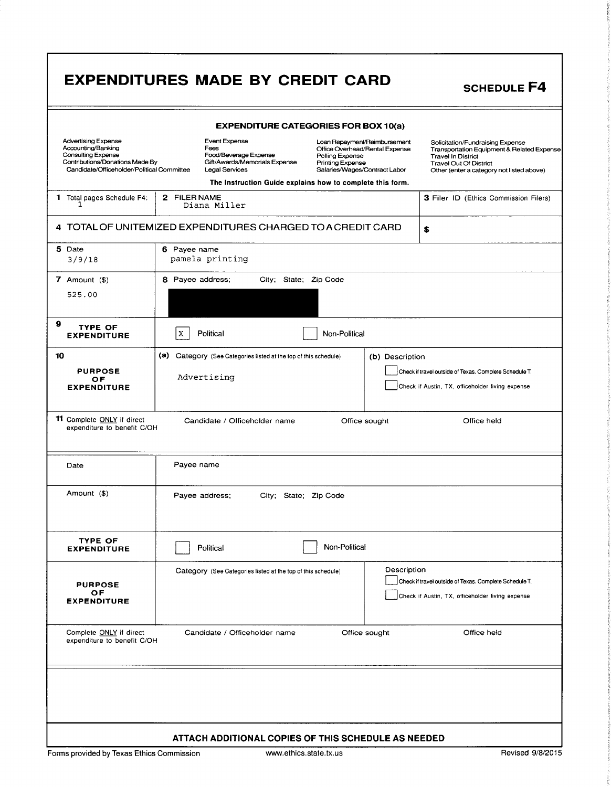|                                                                                                                                                                | <b>EXPENDITURES MADE BY CREDIT CARD</b>                                                                         |                                                                                                                                                                                                            | <b>SCHEDULE F4</b>                                                                                                                                                                        |
|----------------------------------------------------------------------------------------------------------------------------------------------------------------|-----------------------------------------------------------------------------------------------------------------|------------------------------------------------------------------------------------------------------------------------------------------------------------------------------------------------------------|-------------------------------------------------------------------------------------------------------------------------------------------------------------------------------------------|
|                                                                                                                                                                |                                                                                                                 | <b>EXPENDITURE CATEGORIES FOR BOX 10(a)</b>                                                                                                                                                                |                                                                                                                                                                                           |
| <b>Advertising Expense</b><br>Accounting/Banking<br><b>Consulting Expense</b><br>Contributions/Donations Made By<br>Candidate/Officeholder/Political Committee | <b>Event Expense</b><br>Fees<br>Food/Beverage Expense<br>Gift/Awards/Memorials Expense<br><b>Legal Services</b> | Loan Repayment/Reimbursement<br>Office Overhead/Rental Expense<br>Polling Expense<br><b>Printing Expense</b><br>Salaries/Wages/Contract Labor<br>The Instruction Guide explains how to complete this form. | Solicitation/Fundraising Expense<br>Transportation Equipment & Related Expense<br><b>Travel In District</b><br><b>Travel Out Of District</b><br>Other (enter a category not listed above) |
| 1 Total pages Schedule F4:                                                                                                                                     | 2 FILER NAME<br>Diana Miller                                                                                    |                                                                                                                                                                                                            | 3 Filer ID (Ethics Commission Filers)                                                                                                                                                     |
|                                                                                                                                                                | 4 TOTAL OF UNITEMIZED EXPENDITURES CHARGED TO A CREDIT CARD                                                     |                                                                                                                                                                                                            | \$                                                                                                                                                                                        |
| 5 Date<br>3/9/18                                                                                                                                               | 6 Payee name<br>pamela printing                                                                                 |                                                                                                                                                                                                            |                                                                                                                                                                                           |
| 7 Amount (\$)<br>525.00                                                                                                                                        | 8 Payee address;<br>City; State; Zip Code                                                                       |                                                                                                                                                                                                            |                                                                                                                                                                                           |
| 9<br><b>TYPE OF</b><br><b>EXPENDITURE</b>                                                                                                                      | Political<br>X                                                                                                  | Non-Political                                                                                                                                                                                              |                                                                                                                                                                                           |
| 10<br><b>PURPOSE</b><br>OF<br><b>EXPENDITURE</b>                                                                                                               | (a) Category (See Categories listed at the top of this schedule)<br>Advertising                                 | (b) Description                                                                                                                                                                                            | Check if travel outside of Texas. Complete Schedule T.<br>Check if Austin, TX, officeholder living expense                                                                                |
| 11 Complete ONLY if direct<br>expenditure to benefit C/OH                                                                                                      | Candidate / Officeholder name                                                                                   | Office sought                                                                                                                                                                                              | Office held                                                                                                                                                                               |
| Date                                                                                                                                                           | Payee name                                                                                                      |                                                                                                                                                                                                            |                                                                                                                                                                                           |
| Amount (\$)                                                                                                                                                    | Payee address;<br>City: State: Zip Code                                                                         |                                                                                                                                                                                                            |                                                                                                                                                                                           |
| <b>TYPE OF</b><br><b>EXPENDITURE</b>                                                                                                                           | Political                                                                                                       | Non-Political                                                                                                                                                                                              |                                                                                                                                                                                           |
| <b>PURPOSE</b><br>OF<br><b>EXPENDITURE</b>                                                                                                                     | Category (See Categories listed at the top of this schedule)                                                    | Description                                                                                                                                                                                                | Check if travel outside of Texas. Complete Schedule T.<br>Check if Austin, TX, officeholder living expense                                                                                |
| Complete ONLY if direct<br>expenditure to benefit C/OH                                                                                                         | Candidate / Officeholder name                                                                                   | Office sought                                                                                                                                                                                              | Office held                                                                                                                                                                               |
|                                                                                                                                                                |                                                                                                                 |                                                                                                                                                                                                            |                                                                                                                                                                                           |
|                                                                                                                                                                | ATTACH ADDITIONAL COPIES OF THIS SCHEDULE AS NEEDED                                                             |                                                                                                                                                                                                            |                                                                                                                                                                                           |
| Forms provided by Texas Ethics Commission                                                                                                                      | www.ethics.state.tx.us                                                                                          |                                                                                                                                                                                                            | Revised 9/8/2015                                                                                                                                                                          |

Г

2-.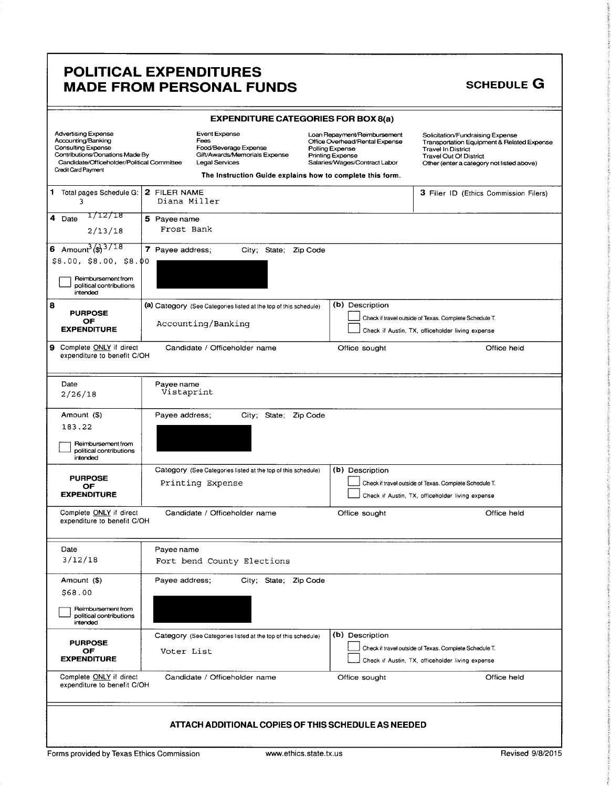### POLITICAL EXPENDITURES MADE FROM PERSONAL FUNDS SCHEDULE G

| <b>EXPENDITURE CATEGORIES FOR BOX 8(a)</b>                                                                                                                                            |                            |                                                                                                                                                                                                                                                                                                                        |                          |  |                                                                                                                                                                                           |                                                                                                            |                                       |
|---------------------------------------------------------------------------------------------------------------------------------------------------------------------------------------|----------------------------|------------------------------------------------------------------------------------------------------------------------------------------------------------------------------------------------------------------------------------------------------------------------------------------------------------------------|--------------------------|--|-------------------------------------------------------------------------------------------------------------------------------------------------------------------------------------------|------------------------------------------------------------------------------------------------------------|---------------------------------------|
| <b>Advertising Expense</b><br>Accounting/Banking<br><b>Consulting Expense</b><br>Contributions/Donations Made By<br>Candidate/Officeholder/Political Committee<br>Credit Card Payment |                            | Event Expense<br>Loan Repayment/Reimbursement<br>Fees<br>Office Overhead/Rental Expense<br>Food/Beverage Expense<br>Polling Expense<br>Gift/Awards/Memorials Expense<br><b>Printing Expense</b><br><b>Legal Services</b><br>Salaries/Wages/Contract Labor<br>The Instruction Guide explains how to complete this form. |                          |  | Solicitation/Fundraising Expense<br>Transportation Equipment & Related Expense<br><b>Travel In District</b><br><b>Travel Out Of District</b><br>Other (enter a category not listed above) |                                                                                                            |                                       |
| 1 Total pages Schedule G:   2 FILER NAME<br>٦                                                                                                                                         | Diana Miller               |                                                                                                                                                                                                                                                                                                                        |                          |  |                                                                                                                                                                                           |                                                                                                            | 3 Filer ID (Ethics Commission Filers) |
| 1712718<br>4 Date<br>2/13/18                                                                                                                                                          | 5 Payee name<br>Frost Bank |                                                                                                                                                                                                                                                                                                                        |                          |  |                                                                                                                                                                                           |                                                                                                            |                                       |
| 6 Amount $\frac{3}{3}$ 3/18<br>\$8.00, \$8.00, \$8.00<br>Reimbursement from<br>political contributions<br>intended                                                                    | 7 Payee address;           |                                                                                                                                                                                                                                                                                                                        | City; State; Zip Code    |  |                                                                                                                                                                                           |                                                                                                            |                                       |
| 8<br><b>PURPOSE</b><br>OF<br><b>EXPENDITURE</b>                                                                                                                                       |                            | (a) Category (See Categories listed at the top of this schedule)<br>Accounting/Banking                                                                                                                                                                                                                                 |                          |  | (b) Description                                                                                                                                                                           | Check if travel outside of Texas. Complete Schedule T.<br>Check if Austin, TX, officeholder living expense |                                       |
| 9 Complete ONLY if direct<br>expenditure to benefit C/OH                                                                                                                              |                            | Candidate / Officeholder name                                                                                                                                                                                                                                                                                          |                          |  | Office sought                                                                                                                                                                             |                                                                                                            | Office held                           |
| Date<br>2/26/18                                                                                                                                                                       | Payee name<br>Vistaprint   |                                                                                                                                                                                                                                                                                                                        |                          |  |                                                                                                                                                                                           |                                                                                                            |                                       |
| Amount (\$)<br>183.22<br>Reimbursement from<br>political contributions<br>intended                                                                                                    | Payee address;             |                                                                                                                                                                                                                                                                                                                        | Zip Code<br>City; State; |  |                                                                                                                                                                                           |                                                                                                            |                                       |
| <b>PURPOSE</b><br>OF<br><b>EXPENDITURE</b>                                                                                                                                            |                            | Category (See Categories listed at the top of this schedule)<br>Printing Expense                                                                                                                                                                                                                                       |                          |  | (b) Description                                                                                                                                                                           | Check if travel outside of Texas. Complete Schedule T.<br>Check if Austin, TX, officeholder living expense |                                       |
| Complete ONLY if direct<br>expenditure to benefit C/OH                                                                                                                                |                            | Candidate / Officeholder name                                                                                                                                                                                                                                                                                          |                          |  | Office sought                                                                                                                                                                             |                                                                                                            | Office held                           |
| Date<br>3/12/18                                                                                                                                                                       | Payee name                 | Fort bend County Elections                                                                                                                                                                                                                                                                                             |                          |  |                                                                                                                                                                                           |                                                                                                            |                                       |
| Amount (\$)<br>\$68.00                                                                                                                                                                | Payee address;             |                                                                                                                                                                                                                                                                                                                        | City; State; Zip Code    |  |                                                                                                                                                                                           |                                                                                                            |                                       |
| Reimbursement from<br>political contributions<br>intended                                                                                                                             |                            |                                                                                                                                                                                                                                                                                                                        |                          |  |                                                                                                                                                                                           |                                                                                                            |                                       |
| <b>PURPOSE</b><br>OF<br><b>EXPENDITURE</b>                                                                                                                                            | Voter List                 | Category (See Categories listed at the top of this schedule)                                                                                                                                                                                                                                                           |                          |  | (b) Description                                                                                                                                                                           | Check if travel outside of Texas. Complete Schedule T.<br>Check if Austin, TX, officeholder living expense |                                       |
| Complete ONLY if direct<br>expenditure to benefit C/OH                                                                                                                                |                            | Candidate / Officeholder name                                                                                                                                                                                                                                                                                          |                          |  | Office sought                                                                                                                                                                             |                                                                                                            | Office held                           |
|                                                                                                                                                                                       |                            | ATTACH ADDITIONAL COPIES OF THIS SCHEDULE AS NEEDED                                                                                                                                                                                                                                                                    |                          |  |                                                                                                                                                                                           |                                                                                                            |                                       |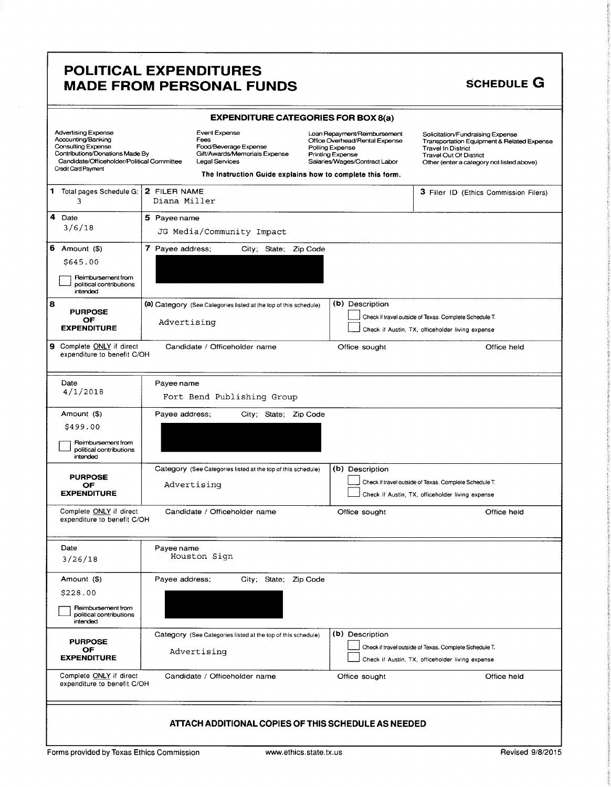### POLITICAL EXPENDITURES MADE FROM PERSONAL FUNDS SCHEDULE G

|                                                                                                                                                                         |                  | <b>EXPENDITURE CATEGORIES FOR BOX 8(a)</b>                                                                                                                     |                                     |                                                                                                 |                                                                                                                                                                                                      |
|-------------------------------------------------------------------------------------------------------------------------------------------------------------------------|------------------|----------------------------------------------------------------------------------------------------------------------------------------------------------------|-------------------------------------|-------------------------------------------------------------------------------------------------|------------------------------------------------------------------------------------------------------------------------------------------------------------------------------------------------------|
| Advertising Expense<br>Accounting/Banking<br>Consulting Expense<br>Contributions/Donations Made By<br>Candidate/Officeholder/Political Committee<br>Credit Card Payment |                  | Event Expense<br>Fees<br>Food/Beverage Expense<br>Gift/Awards/Memorials Expense<br>Legal Services<br>The Instruction Guide explains how to complete this form. | Polling Expense<br>Printing Expense | Loan Repayment/Reimbursement<br>Office Overhead/Rental Expense<br>Salaries/Wages/Contract Labor | Solicitation/Fundraising Expense<br><b>Transportation Equipment &amp; Related Expense</b><br><b>Travel In District</b><br><b>Travel Out Of District</b><br>Other (enter a category not listed above) |
| 1 Total pages Schedule G:   2 FILER NAME<br>3                                                                                                                           | Diana Miller     |                                                                                                                                                                |                                     |                                                                                                 | 3 Filer ID (Ethics Commission Filers)                                                                                                                                                                |
| 4<br>Date<br>3/6/18                                                                                                                                                     | 5 Payee name     | JG Media/Community Impact                                                                                                                                      |                                     |                                                                                                 |                                                                                                                                                                                                      |
| $6$ Amount $($)$<br>\$645.00<br>Reimbursement from<br>political contributions<br>intended                                                                               | 7 Payee address; | City; State; Zip Code                                                                                                                                          |                                     |                                                                                                 |                                                                                                                                                                                                      |
| 8<br><b>PURPOSE</b><br>OF<br><b>EXPENDITURE</b>                                                                                                                         | Advertising      | (a) Category (See Categories listed at the top of this schedule)                                                                                               |                                     | (b) Description                                                                                 | Check if travel outside of Texas. Complete Schedule T.<br>Check if Austin, TX, officeholder living expense                                                                                           |
| Complete ONLY if direct<br>19.<br>expenditure to benefit C/OH                                                                                                           |                  | Candidate / Officeholder name                                                                                                                                  |                                     | Office sought                                                                                   | Office held                                                                                                                                                                                          |
| Date<br>4/1/2018                                                                                                                                                        | Payee name       | Fort Bend Publishing Group                                                                                                                                     |                                     |                                                                                                 |                                                                                                                                                                                                      |
| Amount (\$)<br>\$499.00<br>Reimbursement from<br>political contributions<br>intended                                                                                    | Payee address;   | City; State; Zip Code                                                                                                                                          |                                     |                                                                                                 |                                                                                                                                                                                                      |
| <b>PURPOSE</b><br>OF<br><b>EXPENDITURE</b>                                                                                                                              | Advertising      | Category (See Categories listed at the top of this schedule)                                                                                                   |                                     | (b) Description                                                                                 | Check if travel outside of Texas. Complete Schedule T.<br>Check if Austin, TX, officeholder living expense                                                                                           |
| Complete ONLY if direct<br>expenditure to benefit C/OH                                                                                                                  |                  | Candidate / Officeholder name                                                                                                                                  |                                     | Office sought                                                                                   | Office held                                                                                                                                                                                          |
| Date<br>3/26/18                                                                                                                                                         | Payee name       | Houston Sign                                                                                                                                                   |                                     |                                                                                                 |                                                                                                                                                                                                      |
| Amount (\$)<br>\$228.00<br>Reimbursement from<br>political contributions<br>intended                                                                                    | Payee address;   | City; State; Zip Code                                                                                                                                          |                                     |                                                                                                 |                                                                                                                                                                                                      |
| <b>PURPOSE</b><br>OF<br><b>EXPENDITURE</b>                                                                                                                              |                  | Category (See Categories listed at the top of this schedule)<br>Advertising                                                                                    |                                     | (b) Description                                                                                 | Check if travel outside of Texas. Complete Schedule T.<br>Check if Austin, TX, officeholder living expense                                                                                           |
| Complete ONLY if direct<br>expenditure to benefit C/OH                                                                                                                  |                  | Candidate / Officeholder name                                                                                                                                  |                                     | Office sought                                                                                   | Office held                                                                                                                                                                                          |
|                                                                                                                                                                         |                  | ATTACH ADDITIONAL COPIES OF THIS SCHEDULE AS NEEDED                                                                                                            |                                     |                                                                                                 |                                                                                                                                                                                                      |